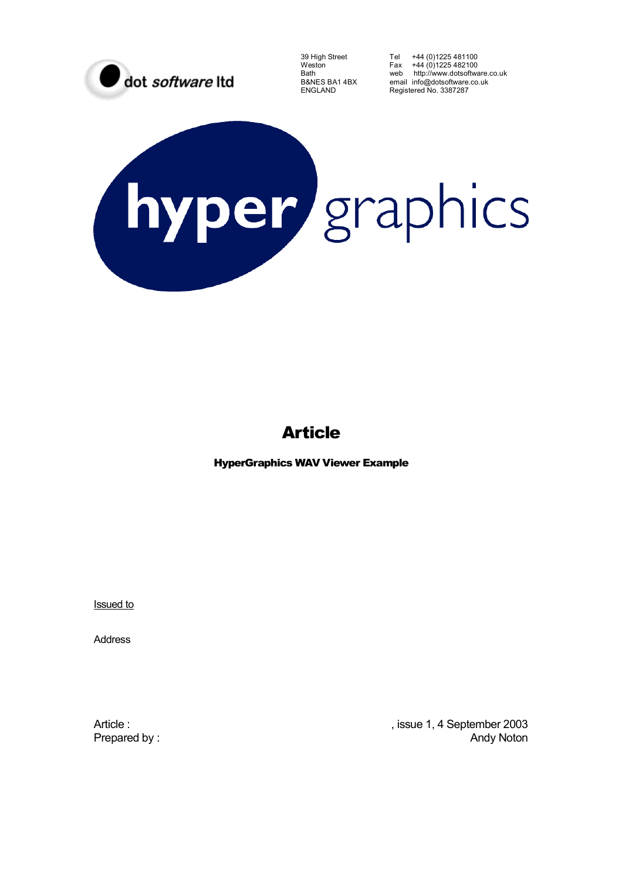

39 High Street Tel +44 (0)1225 481100 Weston Fax +44 (0)1225 482100 Bath web http://www.dotsoftware.co.uk B&NES BA1 4BX email info@dotsoftware.co.uk<br>ENGLAND Registered No. 3387287 Registered No. 3387287

# hyper graphics

# Article

HyperGraphics WAV Viewer Example

Issued to

Address

Article :  $\blacksquare$  , issue 1, 4 September 2003 Prepared by : Andy Noton and The Prepared by : Andy Noton and The Prepared by : Andy Noton and The Prepared by :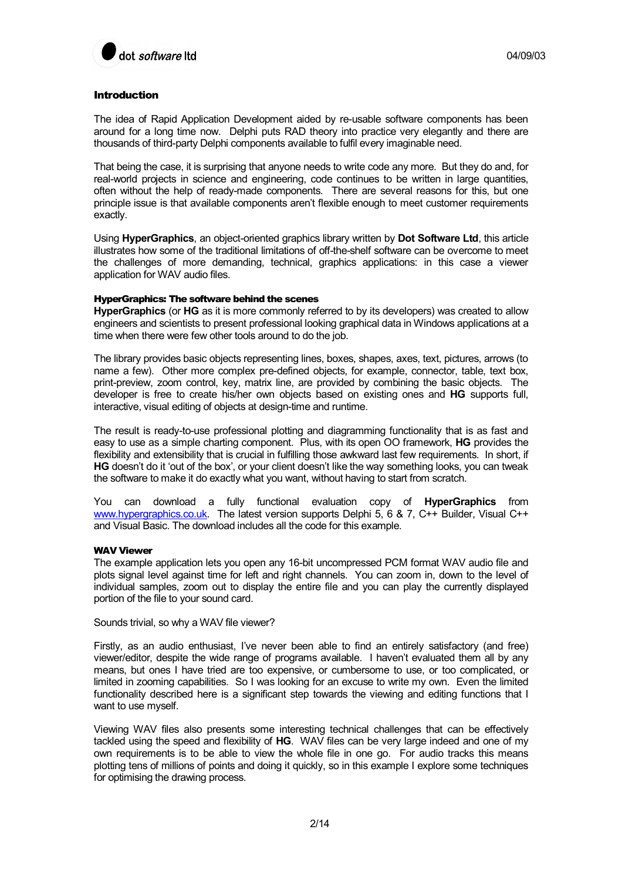

# Introduction

The idea of Rapid Application Development aided by re-usable software components has been around for a long time now. Delphi puts RAD theory into practice very elegantly and there are thousands of third-party Delphi components available to fulfil every imaginable need.

That being the case, it is surprising that anyone needs to write code any more. But they do and, for real-world projects in science and engineering, code continues to be written in large quantities, often without the help of ready-made components. There are several reasons for this, but one principle issue is that available components aren't flexible enough to meet customer requirements exactly.

Using **HyperGraphics**, an object-oriented graphics library written by **Dot Software Ltd**, this article illustrates how some of the traditional limitations of off-the-shelf software can be overcome to meet the challenges of more demanding, technical, graphics applications: in this case a viewer application for WAV audio files.

### HyperGraphics: The software behind the scenes

**HyperGraphics** (or **HG** as it is more commonly referred to by its developers) was created to allow engineers and scientists to present professional looking graphical data in Windows applications at a time when there were few other tools around to do the job.

The library provides basic objects representing lines, boxes, shapes, axes, text, pictures, arrows (to name a few). Other more complex pre-defined objects, for example, connector, table, text box, print-preview, zoom control, key, matrix line, are provided by combining the basic objects. The developer is free to create his/her own objects based on existing ones and **HG** supports full, interactive, visual editing of objects at design-time and runtime.

The result is ready-to-use professional plotting and diagramming functionality that is as fast and easy to use as a simple charting component. Plus, with its open OO framework, **HG** provides the flexibility and extensibility that is crucial in fulfilling those awkward last few requirements. In short, if **HG** doesn't do it 'out of the box', or your client doesn't like the way something looks, you can tweak the software to make it do exactly what you want, without having to start from scratch.

You can download a fully functional evaluation copy of **HyperGraphics** from www.hypergraphics.co.uk. The latest version supports Delphi 5, 6 & 7, C++ Builder, Visual C++ and Visual Basic. The download includes all the code for this example.

# WAV Viewer

The example application lets you open any 16-bit uncompressed PCM format WAV audio file and plots signal level against time for left and right channels. You can zoom in, down to the level of individual samples, zoom out to display the entire file and you can play the currently displayed portion of the file to your sound card.

Sounds trivial, so why a WAV file viewer?

Firstly, as an audio enthusiast, I've never been able to find an entirely satisfactory (and free) viewer/editor, despite the wide range of programs available. I haven't evaluated them all by any means, but ones I have tried are too expensive, or cumbersome to use, or too complicated, or limited in zooming capabilities. So I was looking for an excuse to write my own. Even the limited functionality described here is a significant step towards the viewing and editing functions that I want to use myself.

Viewing WAV files also presents some interesting technical challenges that can be effectively tackled using the speed and flexibility of **HG**. WAV files can be very large indeed and one of my own requirements is to be able to view the whole file in one go. For audio tracks this means plotting tens of millions of points and doing it quickly, so in this example I explore some techniques for optimising the drawing process.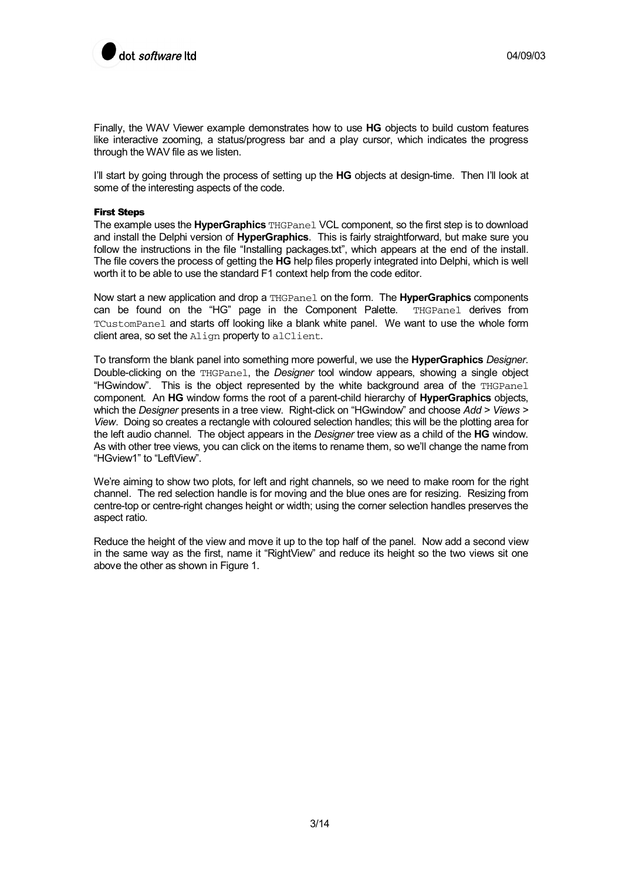

Finally, the WAV Viewer example demonstrates how to use **HG** objects to build custom features like interactive zooming, a status/progress bar and a play cursor, which indicates the progress through the WAV file as we listen.

I'll start by going through the process of setting up the **HG** objects at design-time. Then I'll look at some of the interesting aspects of the code.

### First Steps

The example uses the **HyperGraphics** THGPanel VCL component, so the first step is to download and install the Delphi version of **HyperGraphics**. This is fairly straightforward, but make sure you follow the instructions in the file "Installing packages.txt", which appears at the end of the install. The file covers the process of getting the **HG** help files properly integrated into Delphi, which is well worth it to be able to use the standard F1 context help from the code editor.

Now start a new application and drop a THGPanel on the form. The **HyperGraphics** components can be found on the "HG" page in the Component Palette. THGPanel derives from TCustomPanel and starts off looking like a blank white panel. We want to use the whole form client area, so set the Align property to alClient.

To transform the blank panel into something more powerful, we use the **HyperGraphics** *Designer*. Double-clicking on the THGPanel, the *Designer* tool window appears, showing a single object "HGwindow". This is the object represented by the white background area of the THGPanel component. An **HG** window forms the root of a parent-child hierarchy of **HyperGraphics** objects, which the *Designer* presents in a tree view. Right-click on "HGwindow" and choose *Add > Views > View*. Doing so creates a rectangle with coloured selection handles; this will be the plotting area for the left audio channel. The object appears in the *Designer* tree view as a child of the **HG** window. As with other tree views, you can click on the items to rename them, so we'll change the name from "HGview1" to "LeftView".

We're aiming to show two plots, for left and right channels, so we need to make room for the right channel. The red selection handle is for moving and the blue ones are for resizing. Resizing from centre-top or centre-right changes height or width; using the corner selection handles preserves the aspect ratio.

Reduce the height of the view and move it up to the top half of the panel. Now add a second view in the same way as the first, name it "RightView" and reduce its height so the two views sit one above the other as shown in Figure 1.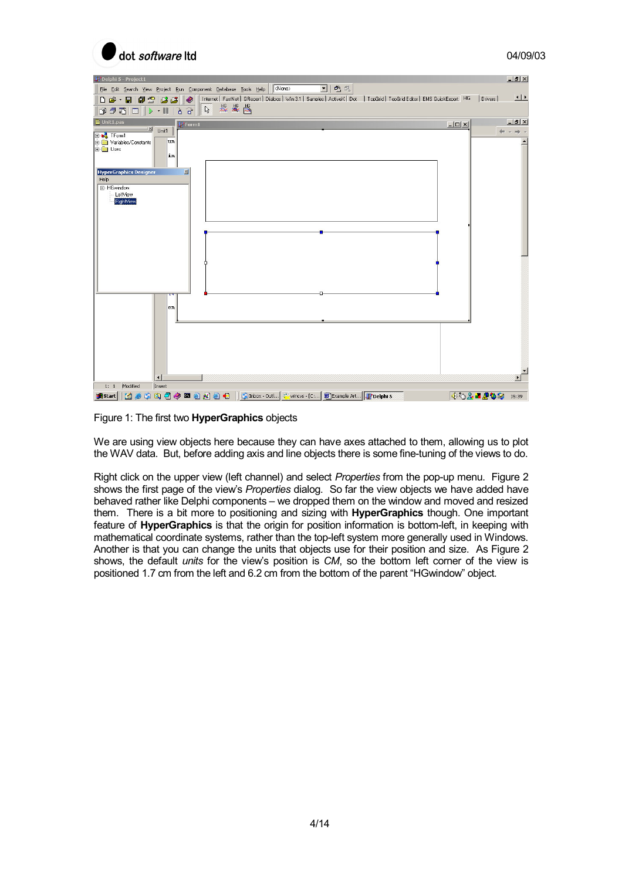



Figure 1: The first two **HyperGraphics** objects

We are using view objects here because they can have axes attached to them, allowing us to plot the WAV data. But, before adding axis and line objects there is some fine-tuning of the views to do.

Right click on the upper view (left channel) and select *Properties* from the pop-up menu. Figure 2 shows the first page of the view's *Properties* dialog. So far the view objects we have added have behaved rather like Delphi components – we dropped them on the window and moved and resized them. There is a bit more to positioning and sizing with **HyperGraphics** though. One important feature of **HyperGraphics** is that the origin for position information is bottom-left, in keeping with mathematical coordinate systems, rather than the top-left system more generally used in Windows. Another is that you can change the units that objects use for their position and size. As Figure 2 shows, the default *units* for the view's position is *CM*, so the bottom left corner of the view is positioned 1.7 cm from the left and 6.2 cm from the bottom of the parent "HGwindow" object.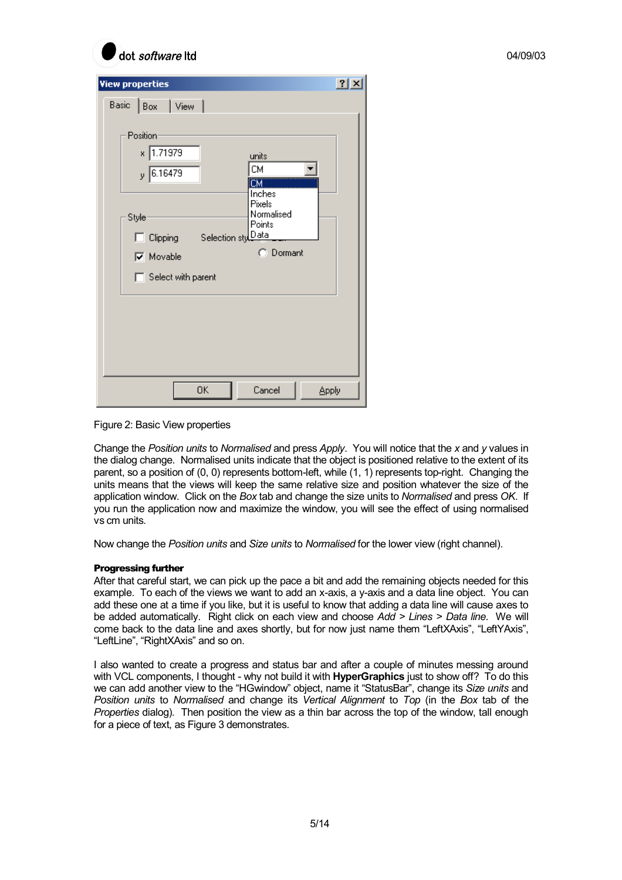| dot software Itd                                                                                                                                                                                                                                                                                | 04/09/03 |
|-------------------------------------------------------------------------------------------------------------------------------------------------------------------------------------------------------------------------------------------------------------------------------------------------|----------|
| <b>View properties</b><br>Basic<br>Box<br>View<br>Position-<br>1.71979<br>$x \mid$<br>units<br>СM<br>$y$ 6.16479<br><b>ICM</b><br>Inches<br><b>Pixels</b><br>Normalised<br>Style-<br>Points<br>Selection stylData<br>Clipping<br>п.<br>C Dormant<br>$\nabla$ Movable<br>Select with parent<br>п | 2 X      |
| 0K<br>Cancel<br>Apply                                                                                                                                                                                                                                                                           |          |

Figure 2: Basic View properties

Change the *Position units* to *Normalised* and press *Apply*. You will notice that the *x* and *y* values in the dialog change. Normalised units indicate that the object is positioned relative to the extent of its parent, so a position of (0, 0) represents bottom-left, while (1, 1) represents top-right. Changing the units means that the views will keep the same relative size and position whatever the size of the application window. Click on the *Box* tab and change the size units to *Normalised* and press *OK*. If you run the application now and maximize the window, you will see the effect of using normalised vs cm units.

Now change the *Position units* and *Size units* to *Normalised* for the lower view (right channel).

# Progressing further

After that careful start, we can pick up the pace a bit and add the remaining objects needed for this example. To each of the views we want to add an x-axis, a y-axis and a data line object. You can add these one at a time if you like, but it is useful to know that adding a data line will cause axes to be added automatically. Right click on each view and choose *Add > Lines > Data line*. We will come back to the data line and axes shortly, but for now just name them "LeftXAxis", "LeftYAxis", "LeftLine", "RightXAxis" and so on.

I also wanted to create a progress and status bar and after a couple of minutes messing around with VCL components, I thought - why not build it with **HyperGraphics** just to show off? To do this we can add another view to the "HGwindow" object, name it "StatusBar", change its *Size units* and *Position units* to *Normalised* and change its *Vertical Alignment* to *Top* (in the *Box* tab of the *Properties* dialog). Then position the view as a thin bar across the top of the window, tall enough for a piece of text, as Figure 3 demonstrates.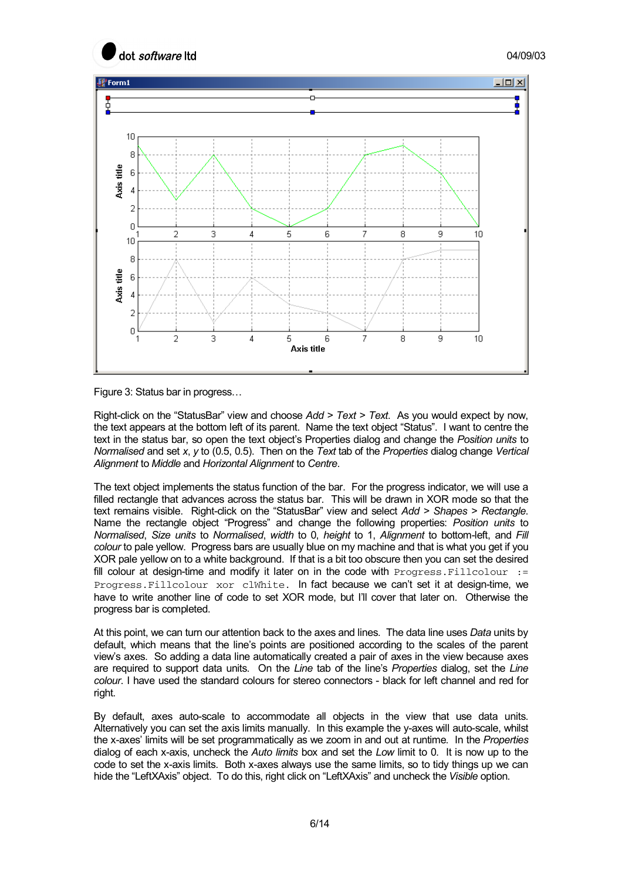



Figure 3: Status bar in progress…

Right-click on the "StatusBar" view and choose *Add > Text > Text*. As you would expect by now, the text appears at the bottom left of its parent. Name the text object "Status". I want to centre the text in the status bar, so open the text object's Properties dialog and change the *Position units* to *Normalised* and set *x*, *y* to (0.5, 0.5). Then on the *Text* tab of the *Properties* dialog change *Vertical Alignment* to *Middle* and *Horizontal Alignment* to *Centre*.

The text object implements the status function of the bar. For the progress indicator, we will use a filled rectangle that advances across the status bar. This will be drawn in XOR mode so that the text remains visible. Right-click on the "StatusBar" view and select *Add > Shapes > Rectangle*. Name the rectangle object "Progress" and change the following properties: *Position units* to *Normalised*, *Size units* to *Normalised*, *width* to 0, *height* to 1, *Alignment* to bottom-left, and *Fill colour* to pale yellow. Progress bars are usually blue on my machine and that is what you get if you XOR pale yellow on to a white background. If that is a bit too obscure then you can set the desired fill colour at design-time and modify it later on in the code with  $Progress.Filloolour :=$ Progress.Fillcolour xor clWhite. In fact because we can't set it at design-time, we have to write another line of code to set XOR mode, but I'll cover that later on. Otherwise the progress bar is completed.

At this point, we can turn our attention back to the axes and lines. The data line uses *Data* units by default, which means that the line's points are positioned according to the scales of the parent view's axes. So adding a data line automatically created a pair of axes in the view because axes are required to support data units. On the *Line* tab of the line's *Properties* dialog, set the *Line colour*. I have used the standard colours for stereo connectors - black for left channel and red for right.

By default, axes auto-scale to accommodate all objects in the view that use data units. Alternatively you can set the axis limits manually. In this example the y-axes will auto-scale, whilst the x-axes' limits will be set programmatically as we zoom in and out at runtime. In the *Properties* dialog of each x-axis, uncheck the *Auto limits* box and set the *Low* limit to 0. It is now up to the code to set the x-axis limits. Both x-axes always use the same limits, so to tidy things up we can hide the "LeftXAxis" object. To do this, right click on "LeftXAxis" and uncheck the *Visible* option.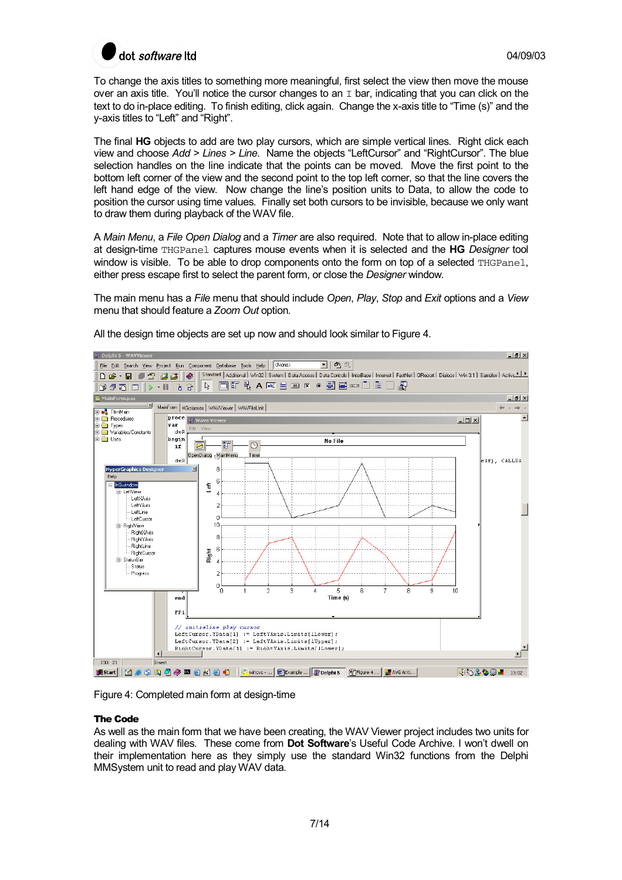

To change the axis titles to something more meaningful, first select the view then move the mouse over an axis title. You'll notice the cursor changes to an  $I$  bar, indicating that you can click on the text to do in-place editing. To finish editing, click again. Change the x-axis title to "Time (s)" and the y-axis titles to "Left" and "Right".

The final **HG** objects to add are two play cursors, which are simple vertical lines. Right click each view and choose *Add > Lines > Line*. Name the objects "LeftCursor" and "RightCursor". The blue selection handles on the line indicate that the points can be moved. Move the first point to the bottom left corner of the view and the second point to the top left corner, so that the line covers the left hand edge of the view. Now change the line's position units to Data, to allow the code to position the cursor using time values. Finally set both cursors to be invisible, because we only want to draw them during playback of the WAV file.

A *Main Menu*, a *File Open Dialog* and a *Timer* are also required. Note that to allow in-place editing at design-time THGPanel captures mouse events when it is selected and the **HG** *Designer* tool window is visible. To be able to drop components onto the form on top of a selected THGPane1, either press escape first to select the parent form, or close the *Designer* window*.*

The main menu has a *File* menu that should include *Open*, *Play*, *Stop* and *Exit* options and a *View* menu that should feature a *Zoom Out* option.



All the design time objects are set up now and should look similar to Figure 4.

Figure 4: Completed main form at design-time

### The Code

As well as the main form that we have been creating, the WAV Viewer project includes two units for dealing with WAV files. These come from **Dot Software**'s Useful Code Archive. I won't dwell on their implementation here as they simply use the standard Win32 functions from the Delphi MMSystem unit to read and play WAV data.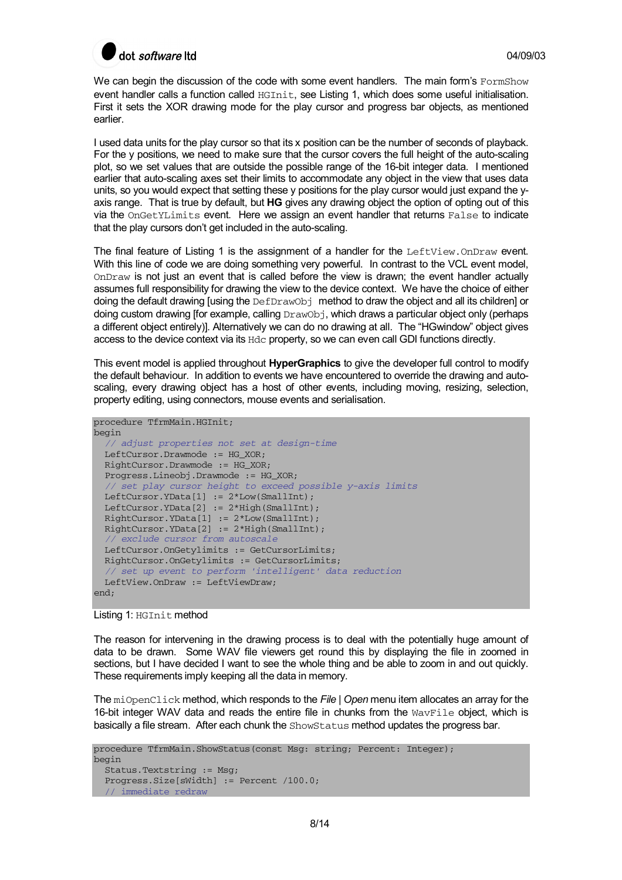

We can begin the discussion of the code with some event handlers. The main form's FormShow event handler calls a function called HGInit, see Listing 1, which does some useful initialisation. First it sets the XOR drawing mode for the play cursor and progress bar objects, as mentioned earlier.

I used data units for the play cursor so that its x position can be the number of seconds of playback. For the y positions, we need to make sure that the cursor covers the full height of the auto-scaling plot, so we set values that are outside the possible range of the 16-bit integer data. I mentioned earlier that auto-scaling axes set their limits to accommodate any object in the view that uses data units, so you would expect that setting these y positions for the play cursor would just expand the yaxis range. That is true by default, but **HG** gives any drawing object the option of opting out of this via the OnGetYLimits event. Here we assign an event handler that returns False to indicate that the play cursors don't get included in the auto-scaling.

The final feature of Listing 1 is the assignment of a handler for the LeftView.OnDraw event. With this line of code we are doing something very powerful. In contrast to the VCL event model, OnDraw is not just an event that is called before the view is drawn; the event handler actually assumes full responsibility for drawing the view to the device context. We have the choice of either doing the default drawing [using the DefDrawObj method to draw the object and all its children] or doing custom drawing [for example, calling DrawObj, which draws a particular object only (perhaps a different object entirely)]. Alternatively we can do no drawing at all. The "HGwindow" object gives access to the device context via its Hdc property, so we can even call GDI functions directly.

This event model is applied throughout **HyperGraphics** to give the developer full control to modify the default behaviour. In addition to events we have encountered to override the drawing and autoscaling, every drawing object has a host of other events, including moving, resizing, selection, property editing, using connectors, mouse events and serialisation.

```
procedure TfrmMain.HGInit; 
begin 
   // adjust properties not set at design-time 
 LeftCursor.Drawmode := HG XOR;
  RightCursor.Drawmode := HG_XOR; 
   Progress.Lineobj.Drawmode := HG_XOR; 
   // set play cursor height to exceed possible y-axis limits 
 LeftCursor.YData[1] := 2*Low(SmallInt);
 LeftCursor.YData[2] := 2*High(SmallInt);
  RightCursor.YData[1] := 2*Low(SmallInt); 
  RightCursor.YData[2] := 2*High(SmallInt); 
    exclude cursor from autoscale
  LeftCursor.OnGetylimits := GetCursorLimits; 
  RightCursor.OnGetylimits := GetCursorLimits; 
   // set up event to perform 'intelligent' data reduction 
  LeftView.OnDraw := LeftViewDraw; 
end;
```
Listing 1: HGInit method

The reason for intervening in the drawing process is to deal with the potentially huge amount of data to be drawn. Some WAV file viewers get round this by displaying the file in zoomed in sections, but I have decided I want to see the whole thing and be able to zoom in and out quickly. These requirements imply keeping all the data in memory.

The miOpenClick method, which responds to the *File* | *Open* menu item allocates an array for the 16-bit integer WAV data and reads the entire file in chunks from the  $W$ <sub>avFile</sub> object, which is basically a file stream. After each chunk the ShowStatus method updates the progress bar.

```
procedure TfrmMain.ShowStatus(const Msg: string; Percent: Integer); 
begin 
   Status.Textstring := Msg; 
   Progress.Size[sWidth] := Percent /100.0; 
   // immediate redraw
```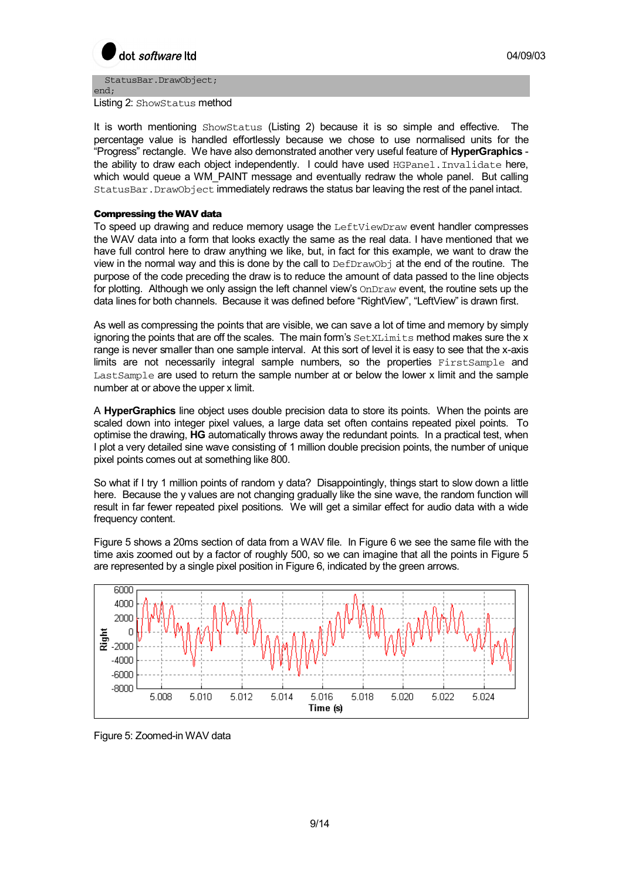

end; Listing 2: ShowStatus method

StatusBar.DrawObject;

It is worth mentioning ShowStatus (Listing 2) because it is so simple and effective. The percentage value is handled effortlessly because we chose to use normalised units for the "Progress" rectangle. We have also demonstrated another very useful feature of **HyperGraphics** the ability to draw each object independently. I could have used HGPanel. Invalidate here, which would queue a WM\_PAINT message and eventually redraw the whole panel. But calling StatusBar.DrawObject immediately redraws the status bar leaving the rest of the panel intact.

# Compressing the WAV data

To speed up drawing and reduce memory usage the LeftViewDraw event handler compresses the WAV data into a form that looks exactly the same as the real data. I have mentioned that we have full control here to draw anything we like, but, in fact for this example, we want to draw the view in the normal way and this is done by the call to DefDrawObj at the end of the routine. The purpose of the code preceding the draw is to reduce the amount of data passed to the line objects for plotting. Although we only assign the left channel view's OnDraw event, the routine sets up the data lines for both channels. Because it was defined before "RightView", "LeftView" is drawn first.

As well as compressing the points that are visible, we can save a lot of time and memory by simply ignoring the points that are off the scales. The main form's  $SetXLLimitS$  method makes sure the x range is never smaller than one sample interval. At this sort of level it is easy to see that the x-axis limits are not necessarily integral sample numbers, so the properties FirstSample and LastSample are used to return the sample number at or below the lower x limit and the sample number at or above the upper x limit.

A **HyperGraphics** line object uses double precision data to store its points. When the points are scaled down into integer pixel values, a large data set often contains repeated pixel points. To optimise the drawing, **HG** automatically throws away the redundant points. In a practical test, when I plot a very detailed sine wave consisting of 1 million double precision points, the number of unique pixel points comes out at something like 800.

So what if I try 1 million points of random y data? Disappointingly, things start to slow down a little here. Because the y values are not changing gradually like the sine wave, the random function will result in far fewer repeated pixel positions. We will get a similar effect for audio data with a wide frequency content.

Figure 5 shows a 20ms section of data from a WAV file. In Figure 6 we see the same file with the time axis zoomed out by a factor of roughly 500, so we can imagine that all the points in Figure 5 are represented by a single pixel position in Figure 6, indicated by the green arrows.



Figure 5: Zoomed-in WAV data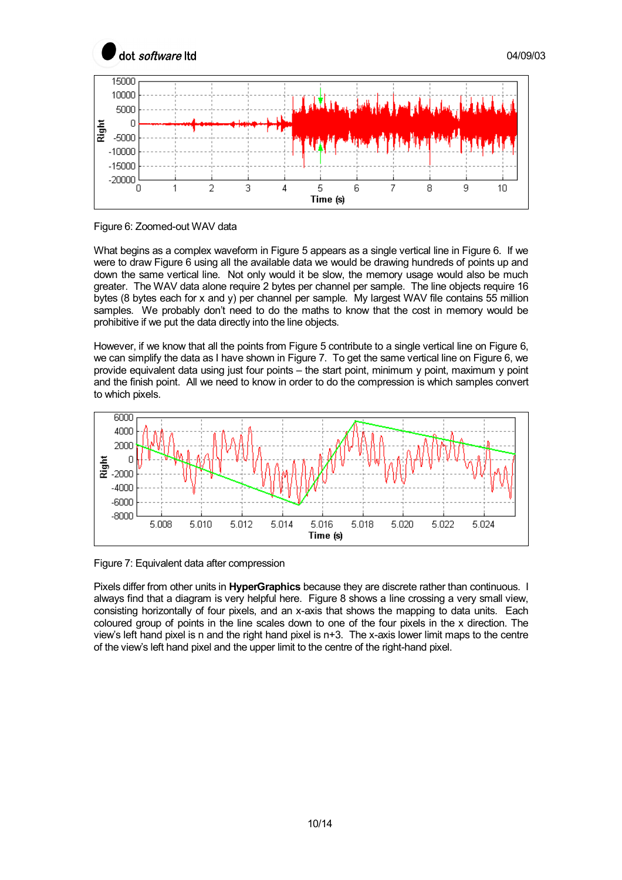

Figure 6: Zoomed-out WAV data

What begins as a complex waveform in Figure 5 appears as a single vertical line in Figure 6. If we were to draw Figure 6 using all the available data we would be drawing hundreds of points up and down the same vertical line. Not only would it be slow, the memory usage would also be much greater. The WAV data alone require 2 bytes per channel per sample. The line objects require 16 bytes (8 bytes each for x and y) per channel per sample. My largest WAV file contains 55 million samples. We probably don't need to do the maths to know that the cost in memory would be prohibitive if we put the data directly into the line objects.

However, if we know that all the points from Figure 5 contribute to a single vertical line on Figure 6, we can simplify the data as I have shown in Figure 7. To get the same vertical line on Figure 6, we provide equivalent data using just four points – the start point, minimum y point, maximum y point and the finish point. All we need to know in order to do the compression is which samples convert to which pixels.



Figure 7: Equivalent data after compression

Pixels differ from other units in **HyperGraphics** because they are discrete rather than continuous. I always find that a diagram is very helpful here. Figure 8 shows a line crossing a very small view, consisting horizontally of four pixels, and an x-axis that shows the mapping to data units. Each coloured group of points in the line scales down to one of the four pixels in the x direction. The view's left hand pixel is n and the right hand pixel is n+3. The x-axis lower limit maps to the centre of the view's left hand pixel and the upper limit to the centre of the right-hand pixel.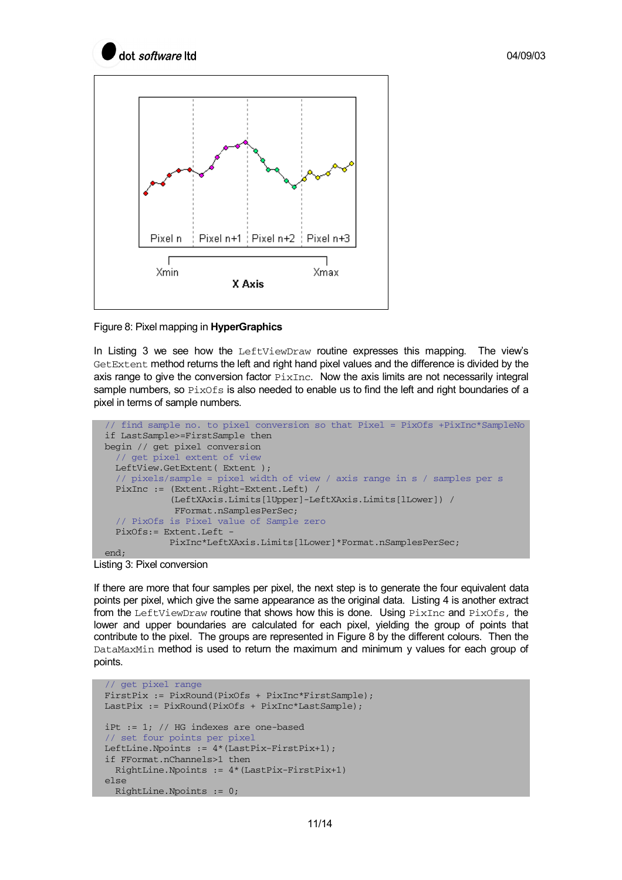



Figure 8: Pixel mapping in **HyperGraphics**

In Listing 3 we see how the LeftViewDraw routine expresses this mapping. The view's GetExtent method returns the left and right hand pixel values and the difference is divided by the axis range to give the conversion factor  $PixInc$ . Now the axis limits are not necessarily integral sample numbers, so  $PixOfs$  is also needed to enable us to find the left and right boundaries of a pixel in terms of sample numbers.

```
 // find sample no. to pixel conversion so that Pixel = PixOfs +PixInc*SampleNo 
 if LastSample>=FirstSample then 
 begin // get pixel conversion 
   // get pixel extent of view 
  LeftView.GetExtent( Extent);
   // pixels/sample = pixel width of view / axis range in s / samples per s 
   PixInc := (Extent.Right-Extent.Left) / 
             (LeftXAxis.Limits[lUpper]-LeftXAxis.Limits[lLower]) / 
              FFormat.nSamplesPerSec; 
   // PixOfs is Pixel value of Sample zero 
   PixOfs:= Extent.Left - 
             PixInc*LeftXAxis.Limits[lLower]*Format.nSamplesPerSec; 
 end;
```
Listing 3: Pixel conversion

If there are more that four samples per pixel, the next step is to generate the four equivalent data points per pixel, which give the same appearance as the original data. Listing 4 is another extract from the LeftViewDraw routine that shows how this is done. Using  $PixInc$  and  $PixOfs$ , the lower and upper boundaries are calculated for each pixel, yielding the group of points that contribute to the pixel. The groups are represented in Figure 8 by the different colours. Then the DataMaxMin method is used to return the maximum and minimum y values for each group of points.

```
 // get pixel range 
 FirstPix := PixRound(PixOfs + PixInc*FirstSample); 
 LastPix := PixRound(PixOfs + PixInc*LastSample); 
 iPt := 1; // HG indexes are one-based 
 // set four points per pixel 
 LeftLine.Npoints := 4*(LastPix-FirstPix+1); 
 if FFormat.nChannels>1 then 
   RightLine.Npoints := 4*(LastPix-FirstPix+1) 
 else 
   RightLine.Npoints := 0;
```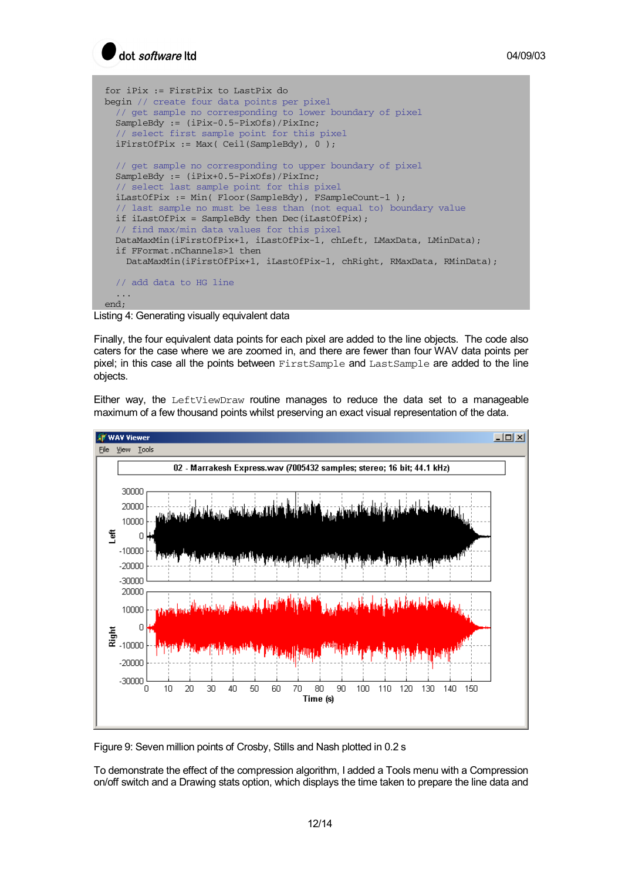

```
 for iPix := FirstPix to LastPix do 
 begin // create four data points per pixel
   // get sample no corresponding to lower boundary of pixel 
   SampleBdy := (iPix-0.5-PixOfs)/PixInc; 
   // select first sample point for this pixel 
   iFirstOfPix := Max( Ceil(SampleBdy), 0 ); 
   // get sample no corresponding to upper boundary of pixel 
   SampleBdy := (iPix+0.5-PixOfs)/PixInc; 
   // select last sample point for this pixel 
   iLastOfPix := Min( Floor(SampleBdy), FSampleCount-1 ); 
   // last sample no must be less than (not equal to) boundary value 
   if iLastOfPix = SampleBdy then Dec(iLastOfPix); 
   // find max/min data values for this pixel 
   DataMaxMin(iFirstOfPix+1, iLastOfPix-1, chLeft, LMaxData, LMinData); 
   if FFormat.nChannels>1 then 
     DataMaxMin(iFirstOfPix+1, iLastOfPix-1, chRight, RMaxData, RMinData); 
   // add data to HG line 
   ... 
 end;
```
Listing 4: Generating visually equivalent data

Finally, the four equivalent data points for each pixel are added to the line objects. The code also caters for the case where we are zoomed in, and there are fewer than four WAV data points per pixel; in this case all the points between FirstSample and LastSample are added to the line objects.

Either way, the LeftViewDraw routine manages to reduce the data set to a manageable maximum of a few thousand points whilst preserving an exact visual representation of the data.



Figure 9: Seven million points of Crosby, Stills and Nash plotted in 0.2 s

To demonstrate the effect of the compression algorithm, I added a Tools menu with a Compression on/off switch and a Drawing stats option, which displays the time taken to prepare the line data and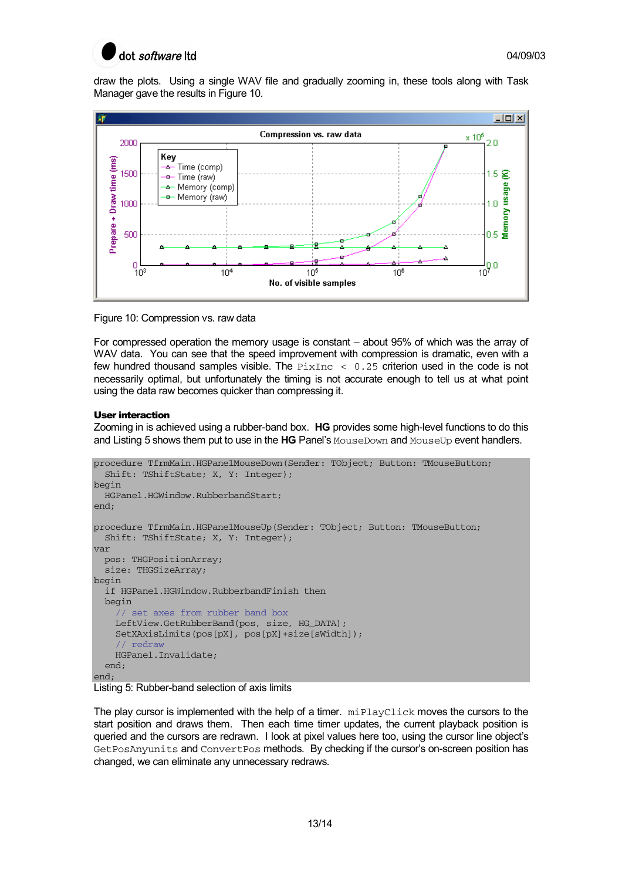

draw the plots. Using a single WAV file and gradually zooming in, these tools along with Task Manager gave the results in Figure 10.



Figure 10: Compression vs. raw data

For compressed operation the memory usage is constant – about 95% of which was the array of WAV data. You can see that the speed improvement with compression is dramatic, even with a few hundred thousand samples visible. The  $PixInc < 0.25$  criterion used in the code is not necessarily optimal, but unfortunately the timing is not accurate enough to tell us at what point using the data raw becomes quicker than compressing it.

# User interaction

Zooming in is achieved using a rubber-band box. **HG** provides some high-level functions to do this and Listing 5 shows them put to use in the **HG** Panel's MouseDown and MouseUp event handlers.

```
procedure TfrmMain.HGPanelMouseDown(Sender: TObject; Button: TMouseButton; 
   Shift: TShiftState; X, Y: Integer); 
begin 
   HGPanel.HGWindow.RubberbandStart; 
-nnd.
procedure TfrmMain.HGPanelMouseUp(Sender: TObject; Button: TMouseButton; 
  Shift: TShiftState; X, Y: Integer); 
var 
  pos: THGPositionArray; 
   size: THGSizeArray; 
begin 
   if HGPanel.HGWindow.RubberbandFinish then 
   begin 
     // set axes from rubber band box 
     LeftView.GetRubberBand(pos, size, HG_DATA); 
     SetXAxisLimits(pos[pX], pos[pX]+size[sWidth]); 
     // redraw 
     HGPanel.Invalidate; 
   end; 
end;
```


The play cursor is implemented with the help of a timer.  $\text{minPlayClick moves}$  the cursors to the start position and draws them. Then each time timer updates, the current playback position is queried and the cursors are redrawn. I look at pixel values here too, using the cursor line object's GetPosAnyunits and ConvertPos methods. By checking if the cursor's on-screen position has changed, we can eliminate any unnecessary redraws.